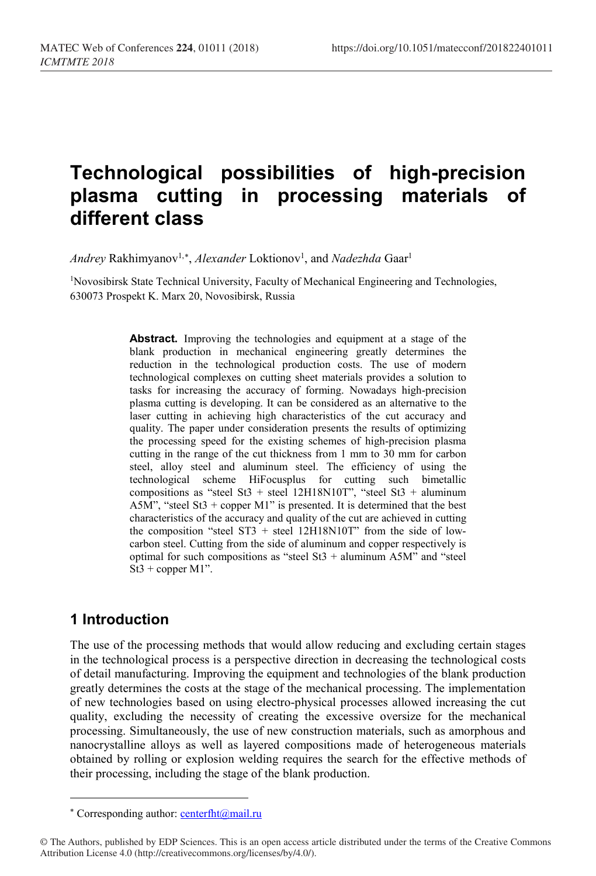# **Technological possibilities of high-precision plasma cutting in processing materials of different class**

*Andrey* Rakhimyanov<sup>1,[∗](#page-0-0)</sup>, *Alexander* Loktionov<sup>1</sup>, and *Nadezhda* Gaar<sup>1</sup>

<sup>1</sup>Novosibirsk State Technical University, Faculty of Mechanical Engineering and Technologies, 630073 Prospekt K. Marx 20, Novosibirsk, Russia

> **Abstract.** Improving the technologies and equipment at a stage of the blank production in mechanical engineering greatly determines the reduction in the technological production costs. The use of modern technological complexes on cutting sheet materials provides a solution to tasks for increasing the accuracy of forming. Nowadays high-precision plasma cutting is developing. It can be considered as an alternative to the laser cutting in achieving high characteristics of the cut accuracy and quality. The paper under consideration presents the results of optimizing the processing speed for the existing schemes of high-precision plasma cutting in the range of the cut thickness from 1 mm to 30 mm for carbon steel, alloy steel and aluminum steel. The efficiency of using the technological scheme HiFocusplus for cutting such bimetallic compositions as "steel St3 + steel 12H18N10T", "steel St3 + aluminum A5M", "steel St3 + copper M1" is presented. It is determined that the best characteristics of the accuracy and quality of the cut are achieved in cutting the composition "steel  $ST3 +$  steel  $12H18N10T$ " from the side of lowcarbon steel. Cutting from the side of aluminum and copper respectively is optimal for such compositions as "steel St3 + aluminum A5M" and "steel St3 + copper M1".

## **1 Introduction**

l

The use of the processing methods that would allow reducing and excluding certain stages in the technological process is a perspective direction in decreasing the technological costs of detail manufacturing. Improving the equipment and technologies of the blank production greatly determines the costs at the stage of the mechanical processing. The implementation of new technologies based on using electro-physical processes allowed increasing the cut quality, excluding the necessity of creating the excessive oversize for the mechanical processing. Simultaneously, the use of new construction materials, such as amorphous and nanocrystalline alloys as well as layered compositions made of heterogeneous materials obtained by rolling or explosion welding requires the search for the effective methods of their processing, including the stage of the blank production.

<sup>\*</sup> Corresponding author: centerfht@mail.ru

<span id="page-0-0"></span><sup>©</sup> The Authors, published by EDP Sciences. This is an open access article distributed under the terms of the Creative Commons Attribution License 4.0 (http://creativecommons.org/licenses/by/4.0/).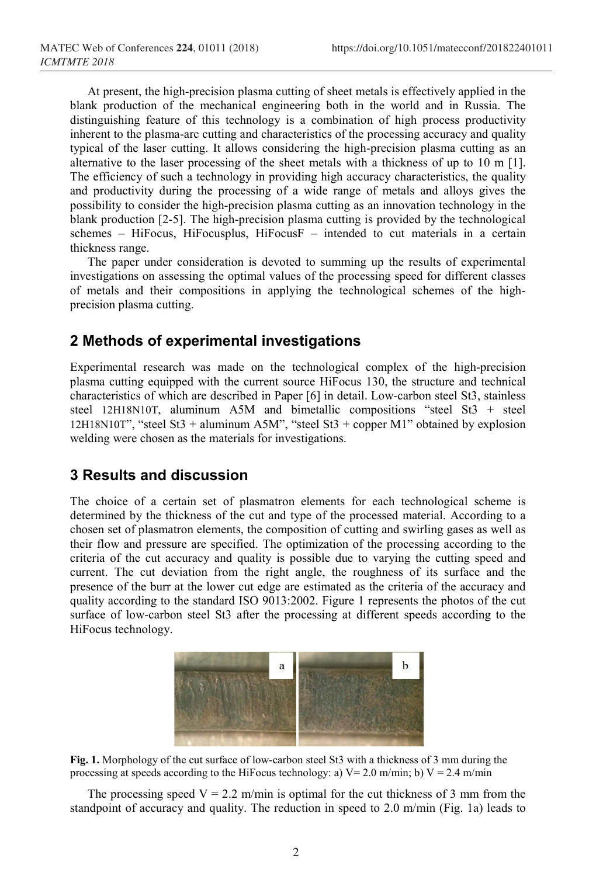At present, the high-precision plasma cutting of sheet metals is effectively applied in the blank production of the mechanical engineering both in the world and in Russia. The distinguishing feature of this technology is a combination of high process productivity inherent to the plasma-arc cutting and characteristics of the processing accuracy and quality typical of the laser cutting. It allows considering the high-precision plasma cutting as an alternative to the laser processing of the sheet metals with a thickness of up to 10 m [1]. The efficiency of such a technology in providing high accuracy characteristics, the quality and productivity during the processing of a wide range of metals and alloys gives the possibility to consider the high-precision plasma cutting as an innovation technology in the blank production [2-5]. The high-precision plasma cutting is provided by the technological schemes – HiFocus, HiFocusplus, HiFocusF – intended to cut materials in a certain thickness range.

The paper under consideration is devoted to summing up the results of experimental investigations on assessing the optimal values of the processing speed for different classes of metals and their compositions in applying the technological schemes of the highprecision plasma cutting.

### **2 Methods of experimental investigations**

Experimental research was made on the technological complex of the high-precision plasma cutting equipped with the current source HiFocus 130, the structure and technical characteristics of which are described in Paper [6] in detail. Low-carbon steel St3, stainless steel 12H18N10T, aluminum A5M and bimetallic compositions "steel St3 + steel 12H18N10T", "steel St3 + aluminum A5M", "steel St3 + copper M1" obtained by explosion welding were chosen as the materials for investigations.

#### **3 Results and discussion**

The choice of a certain set of plasmatron elements for each technological scheme is determined by the thickness of the cut and type of the processed material. According to a chosen set of plasmatron elements, the composition of cutting and swirling gases as well as their flow and pressure are specified. The optimization of the processing according to the criteria of the cut accuracy and quality is possible due to varying the cutting speed and current. The cut deviation from the right angle, the roughness of its surface and the presence of the burr at the lower cut edge are estimated as the criteria of the accuracy and quality according to the standard ISO 9013:2002. Figure 1 represents the photos of the cut surface of low-carbon steel St3 after the processing at different speeds according to the HiFocus technology.



**Fig. 1.** Morphology of the cut surface of low-carbon steel St3 with a thickness of 3 mm during the processing at speeds according to the HiFocus technology: a)  $V = 2.0$  m/min; b)  $V = 2.4$  m/min

The processing speed  $V = 2.2$  m/min is optimal for the cut thickness of 3 mm from the standpoint of accuracy and quality. The reduction in speed to 2.0 m/min (Fig. 1a) leads to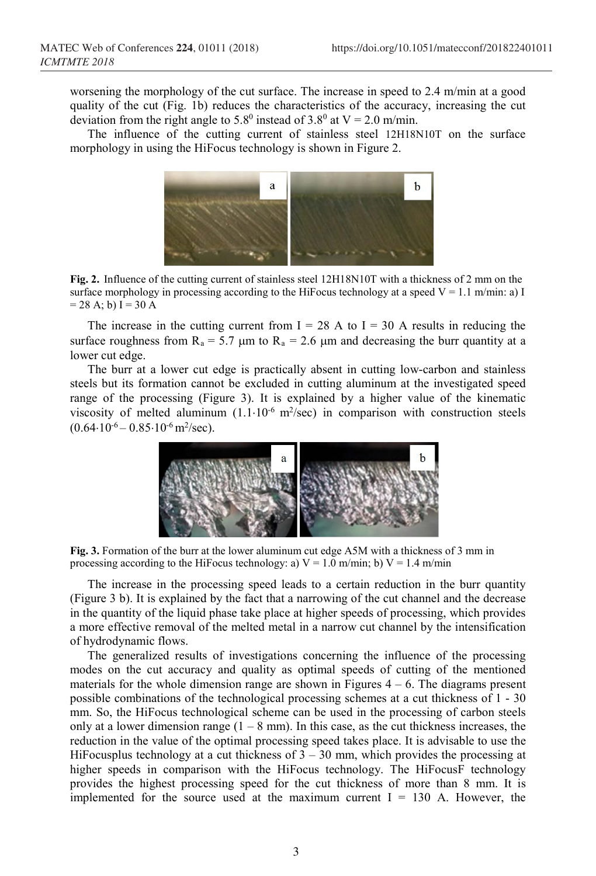worsening the morphology of the cut surface. The increase in speed to 2.4 m/min at a good quality of the cut (Fig. 1b) reduces the characteristics of the accuracy, increasing the cut deviation from the right angle to 5.8<sup>0</sup> instead of 3.8<sup>0</sup> at V = 2.0 m/min.

The influence of the cutting current of stainless steel 12H18N10T on the surface morphology in using the HiFocus technology is shown in Figure 2.



**Fig. 2.** Influence of the cutting current of stainless steel 12H18N10T with a thickness of 2 mm on the surface morphology in processing according to the HiFocus technology at a speed  $V = 1.1$  m/min: a) I  $= 28$  A; b) I  $= 30$  A

The increase in the cutting current from  $I = 28$  A to  $I = 30$  A results in reducing the surface roughness from  $R_a = 5.7 \mu m$  to  $R_a = 2.6 \mu m$  and decreasing the burr quantity at a lower cut edge.

The burr at a lower cut edge is practically absent in cutting low-carbon and stainless steels but its formation cannot be excluded in cutting aluminum at the investigated speed range of the processing (Figure 3). It is explained by a higher value of the kinematic viscosity of melted aluminum  $(1.1 \cdot 10^{-6} \text{ m}^2/\text{sec})$  in comparison with construction steels  $(0.64 \cdot 10^{-6} - 0.85 \cdot 10^{-6} \,\mathrm{m}^2/\mathrm{sec})$ .



**Fig. 3.** Formation of the burr at the lower aluminum cut edge A5M with a thickness of 3 mm in processing according to the HiFocus technology: a)  $V = 1.0$  m/min; b)  $V = 1.4$  m/min

The increase in the processing speed leads to a certain reduction in the burr quantity (Figure 3 b). It is explained by the fact that a narrowing of the cut channel and the decrease in the quantity of the liquid phase take place at higher speeds of processing, which provides a more effective removal of the melted metal in a narrow cut channel by the intensification of hydrodynamic flows.

The generalized results of investigations concerning the influence of the processing modes on the cut accuracy and quality as optimal speeds of cutting of the mentioned materials for the whole dimension range are shown in Figures  $4 - 6$ . The diagrams present possible combinations of the technological processing schemes at a cut thickness of 1 - 30 mm. So, the HiFocus technological scheme can be used in the processing of carbon steels only at a lower dimension range  $(1 - 8 \text{ mm})$ . In this case, as the cut thickness increases, the reduction in the value of the optimal processing speed takes place. It is advisable to use the HiFocusplus technology at a cut thickness of  $3 - 30$  mm, which provides the processing at higher speeds in comparison with the HiFocus technology. The HiFocusF technology provides the highest processing speed for the cut thickness of more than 8 mm. It is implemented for the source used at the maximum current  $I = 130$  A. However, the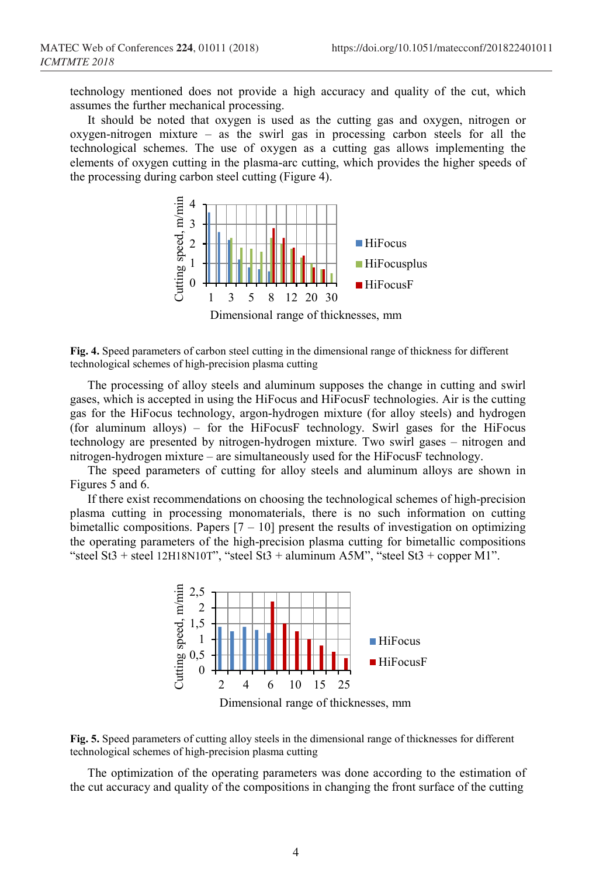technology mentioned does not provide a high accuracy and quality of the cut, which assumes the further mechanical processing.

It should be noted that oxygen is used as the cutting gas and oxygen, nitrogen or oxygen-nitrogen mixture – as the swirl gas in processing carbon steels for all the technological schemes. The use of oxygen as a cutting gas allows implementing the elements of oxygen cutting in the plasma-arc cutting, which provides the higher speeds of the processing during carbon steel cutting (Figure 4).



Dimensional range of thicknesses, mm

**Fig. 4.** Speed parameters of carbon steel cutting in the dimensional range of thickness for different technological schemes of high-precision plasma cutting

The processing of alloy steels and aluminum supposes the change in cutting and swirl gases, which is accepted in using the HiFocus and HiFocusF technologies. Air is the cutting gas for the HiFocus technology, argon-hydrogen mixture (for alloy steels) and hydrogen (for aluminum alloys) – for the HiFocusF technology. Swirl gases for the HiFocus technology are presented by nitrogen-hydrogen mixture. Two swirl gases – nitrogen and nitrogen-hydrogen mixture – are simultaneously used for the HiFocusF technology.

The speed parameters of cutting for alloy steels and aluminum alloys are shown in Figures 5 and 6.

If there exist recommendations on choosing the technological schemes of high-precision plasma cutting in processing monomaterials, there is no such information on cutting bimetallic compositions. Papers  $[7 - 10]$  present the results of investigation on optimizing the operating parameters of the high-precision plasma cutting for bimetallic compositions "steel St3 + steel 12H18N10T", "steel St3 + aluminum A5M", "steel St3 + copper M1".



Dimensional range of thicknesses, mm



The optimization of the operating parameters was done according to the estimation of the cut accuracy and quality of the compositions in changing the front surface of the cutting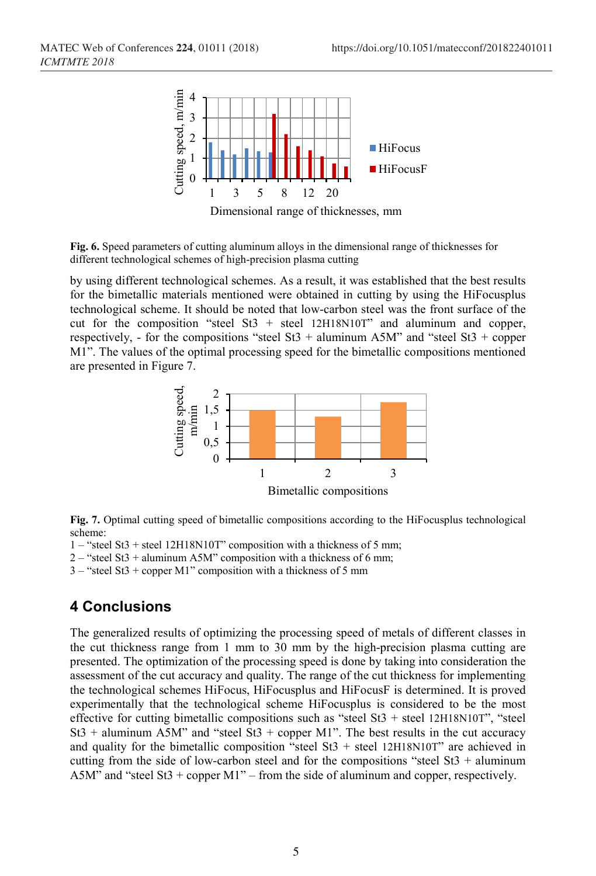

Dimensional range of thicknesses, mm

**Fig. 6.** Speed parameters of cutting aluminum alloys in the dimensional range of thicknesses for different technological schemes of high-precision plasma cutting

by using different technological schemes. As a result, it was established that the best results for the bimetallic materials mentioned were obtained in cutting by using the HiFocusplus technological scheme. It should be noted that low-carbon steel was the front surface of the cut for the composition "steel St3 + steel  $12H18N10T$ " and aluminum and copper, respectively, - for the compositions "steel St3 + aluminum A5M" and "steel St3 + copper M1". The values of the optimal processing speed for the bimetallic compositions mentioned are presented in Figure 7.



**Fig. 7.** Optimal cutting speed of bimetallic compositions according to the HiFocusplus technological scheme:

1 – "steel St3 + steel 12H18N10T" composition with a thickness of 5 mm;

 $2 -$  "steel St3 + aluminum A5M" composition with a thickness of 6 mm;

3 – "steel St3 + copper M1" composition with a thickness of 5 mm

## **4 Conclusions**

The generalized results of optimizing the processing speed of metals of different classes in the cut thickness range from 1 mm to 30 mm by the high-precision plasma cutting are presented. The optimization of the processing speed is done by taking into consideration the assessment of the cut accuracy and quality. The range of the cut thickness for implementing the technological schemes HiFocus, HiFocusplus and HiFocusF is determined. It is proved experimentally that the technological scheme HiFocusplus is considered to be the most effective for cutting bimetallic compositions such as "steel St3 + steel 12H18N10T", "steel  $St3$  + aluminum A5M" and "steel St3 + copper M1". The best results in the cut accuracy and quality for the bimetallic composition "steel St3 + steel 12H18N10T" are achieved in cutting from the side of low-carbon steel and for the compositions "steel  $St3 + \text{aluminum}$ A5M" and "steel St3 + copper M1" – from the side of aluminum and copper, respectively.